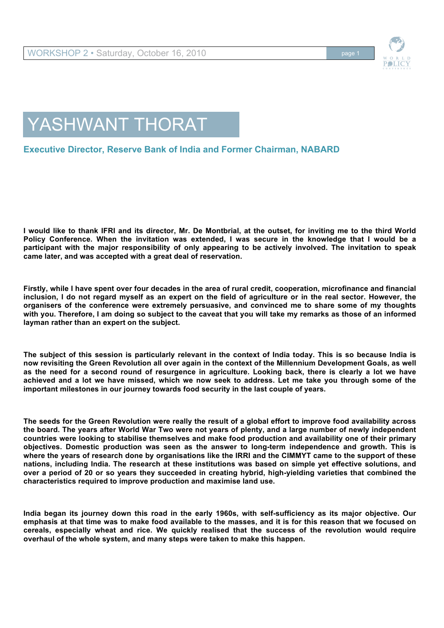

## YASHWANT THORAT

## **Executive Director, Reserve Bank of India and Former Chairman, NABARD**

**I would like to thank IFRI and its director, Mr. De Montbrial, at the outset, for inviting me to the third World Policy Conference. When the invitation was extended, I was secure in the knowledge that I would be a participant with the major responsibility of only appearing to be actively involved. The invitation to speak came later, and was accepted with a great deal of reservation.**

**Firstly, while I have spent over four decades in the area of rural credit, cooperation, microfinance and financial inclusion, I do not regard myself as an expert on the field of agriculture or in the real sector. However, the organisers of the conference were extremely persuasive, and convinced me to share some of my thoughts with you. Therefore, I am doing so subject to the caveat that you will take my remarks as those of an informed layman rather than an expert on the subject.** 

**The subject of this session is particularly relevant in the context of India today. This is so because India is now revisiting the Green Revolution all over again in the context of the Millennium Development Goals, as well as the need for a second round of resurgence in agriculture. Looking back, there is clearly a lot we have achieved and a lot we have missed, which we now seek to address. Let me take you through some of the important milestones in our journey towards food security in the last couple of years.**

**The seeds for the Green Revolution were really the result of a global effort to improve food availability across the board. The years after World War Two were not years of plenty, and a large number of newly independent countries were looking to stabilise themselves and make food production and availability one of their primary objectives. Domestic production was seen as the answer to long-term independence and growth. This is where the years of research done by organisations like the IRRI and the CIMMYT came to the support of these nations, including India. The research at these institutions was based on simple yet effective solutions, and over a period of 20 or so years they succeeded in creating hybrid, high-yielding varieties that combined the characteristics required to improve production and maximise land use.**

**India began its journey down this road in the early 1960s, with self-sufficiency as its major objective. Our emphasis at that time was to make food available to the masses, and it is for this reason that we focused on cereals, especially wheat and rice. We quickly realised that the success of the revolution would require overhaul of the whole system, and many steps were taken to make this happen.**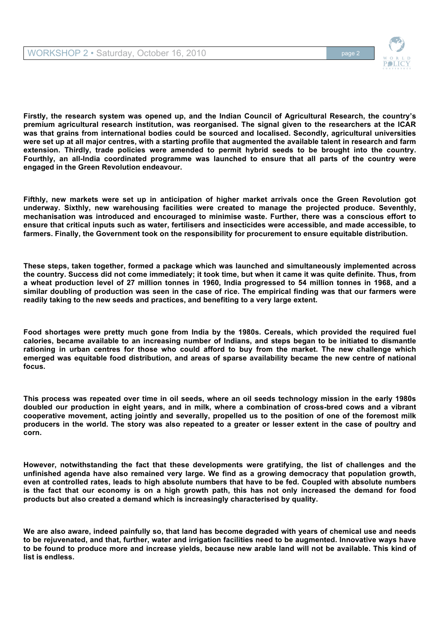

**Firstly, the research system was opened up, and the Indian Council of Agricultural Research, the country's premium agricultural research institution, was reorganised. The signal given to the researchers at the ICAR was that grains from international bodies could be sourced and localised. Secondly, agricultural universities were set up at all major centres, with a starting profile that augmented the available talent in research and farm extension. Thirdly, trade policies were amended to permit hybrid seeds to be brought into the country. Fourthly, an all-India coordinated programme was launched to ensure that all parts of the country were engaged in the Green Revolution endeavour.** 

**Fifthly, new markets were set up in anticipation of higher market arrivals once the Green Revolution got underway. Sixthly, new warehousing facilities were created to manage the projected produce. Seventhly, mechanisation was introduced and encouraged to minimise waste. Further, there was a conscious effort to ensure that critical inputs such as water, fertilisers and insecticides were accessible, and made accessible, to farmers. Finally, the Government took on the responsibility for procurement to ensure equitable distribution.**

**These steps, taken together, formed a package which was launched and simultaneously implemented across the country. Success did not come immediately; it took time, but when it came it was quite definite. Thus, from a wheat production level of 27 million tonnes in 1960, India progressed to 54 million tonnes in 1968, and a similar doubling of production was seen in the case of rice. The empirical finding was that our farmers were readily taking to the new seeds and practices, and benefiting to a very large extent.**

**Food shortages were pretty much gone from India by the 1980s. Cereals, which provided the required fuel calories, became available to an increasing number of Indians, and steps began to be initiated to dismantle rationing in urban centres for those who could afford to buy from the market. The new challenge which emerged was equitable food distribution, and areas of sparse availability became the new centre of national focus.**

**This process was repeated over time in oil seeds, where an oil seeds technology mission in the early 1980s doubled our production in eight years, and in milk, where a combination of cross-bred cows and a vibrant cooperative movement, acting jointly and severally, propelled us to the position of one of the foremost milk producers in the world. The story was also repeated to a greater or lesser extent in the case of poultry and corn.** 

**However, notwithstanding the fact that these developments were gratifying, the list of challenges and the unfinished agenda have also remained very large. We find as a growing democracy that population growth, even at controlled rates, leads to high absolute numbers that have to be fed. Coupled with absolute numbers is the fact that our economy is on a high growth path, this has not only increased the demand for food products but also created a demand which is increasingly characterised by quality.** 

**We are also aware, indeed painfully so, that land has become degraded with years of chemical use and needs to be rejuvenated, and that, further, water and irrigation facilities need to be augmented. Innovative ways have to be found to produce more and increase yields, because new arable land will not be available. This kind of list is endless.**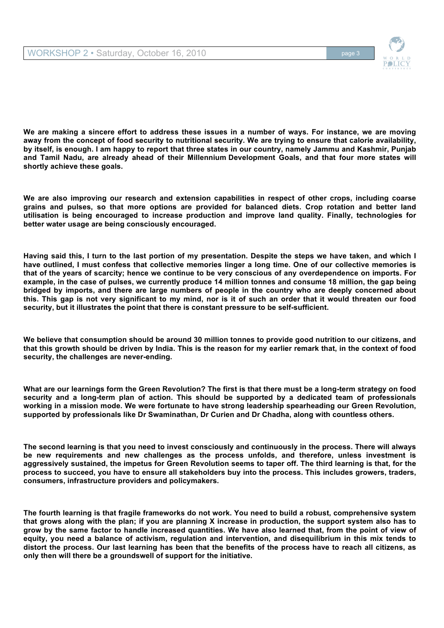

**We are making a sincere effort to address these issues in a number of ways. For instance, we are moving away from the concept of food security to nutritional security. We are trying to ensure that calorie availability, by itself, is enough. I am happy to report that three states in our country, namely Jammu and Kashmir, Punjab and Tamil Nadu, are already ahead of their Millennium Development Goals, and that four more states will shortly achieve these goals.** 

**We are also improving our research and extension capabilities in respect of other crops, including coarse grains and pulses, so that more options are provided for balanced diets. Crop rotation and better land utilisation is being encouraged to increase production and improve land quality. Finally, technologies for better water usage are being consciously encouraged.**

**Having said this, I turn to the last portion of my presentation. Despite the steps we have taken, and which I have outlined, I must confess that collective memories linger a long time. One of our collective memories is that of the years of scarcity; hence we continue to be very conscious of any overdependence on imports. For example, in the case of pulses, we currently produce 14 million tonnes and consume 18 million, the gap being bridged by imports, and there are large numbers of people in the country who are deeply concerned about this. This gap is not very significant to my mind, nor is it of such an order that it would threaten our food security, but it illustrates the point that there is constant pressure to be self-sufficient.** 

**We believe that consumption should be around 30 million tonnes to provide good nutrition to our citizens, and that this growth should be driven by India. This is the reason for my earlier remark that, in the context of food security, the challenges are never-ending.** 

**What are our learnings form the Green Revolution? The first is that there must be a long-term strategy on food security and a long-term plan of action. This should be supported by a dedicated team of professionals working in a mission mode. We were fortunate to have strong leadership spearheading our Green Revolution, supported by professionals like Dr Swaminathan, Dr Curien and Dr Chadha, along with countless others.** 

**The second learning is that you need to invest consciously and continuously in the process. There will always be new requirements and new challenges as the process unfolds, and therefore, unless investment is aggressively sustained, the impetus for Green Revolution seems to taper off. The third learning is that, for the process to succeed, you have to ensure all stakeholders buy into the process. This includes growers, traders, consumers, infrastructure providers and policymakers.** 

**The fourth learning is that fragile frameworks do not work. You need to build a robust, comprehensive system that grows along with the plan; if you are planning X increase in production, the support system also has to grow by the same factor to handle increased quantities. We have also learned that, from the point of view of equity, you need a balance of activism, regulation and intervention, and disequilibrium in this mix tends to distort the process. Our last learning has been that the benefits of the process have to reach all citizens, as only then will there be a groundswell of support for the initiative.**